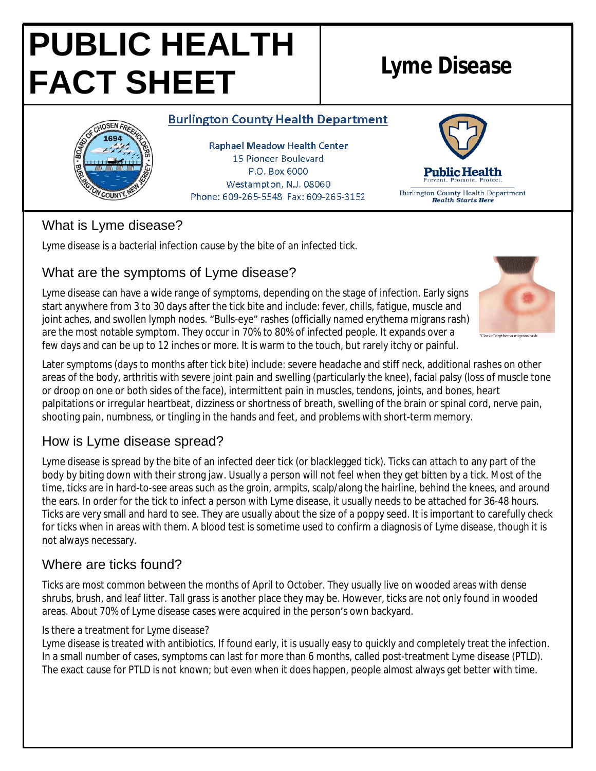# **PUBLIC HEALTH FACT SHEET Lyme Disease**

### **Burlington County Health Department**

**JOSEN FA** 

**Raphael Meadow Health Center** 15 Pioneer Boulevard P.O. Box 6000 Westampton, N.J. 08060 Phone: 609-265-5548 Fax: 609-265-3152



# What is Lyme disease?

Lyme disease is a bacterial infection cause by the bite of an infected tick.

## What are the symptoms of Lyme disease?

Lyme disease can have a wide range of symptoms, depending on the stage of infection. Early signs start anywhere from 3 to 30 days after the tick bite and include: fever, chills, fatigue, muscle and joint aches, and swollen lymph nodes. "Bulls-eye" rashes (officially named erythema migrans rash) are the most notable symptom. They occur in 70% to 80% of infected people. It expands over a few days and can be up to 12 inches or more. It is warm to the touch, but rarely itchy or painful.



Later symptoms (days to months after tick bite) include: severe headache and stiff neck, additional rashes on other areas of the body, arthritis with severe joint pain and swelling (particularly the knee), facial palsy (loss of muscle tone or droop on one or both sides of the face), intermittent pain in muscles, tendons, joints, and bones, heart palpitations or irregular heartbeat, dizziness or shortness of breath, swelling of the brain or spinal cord, nerve pain, shooting pain, numbness, or tingling in the hands and feet, and problems with short-term memory.

# How is Lyme disease spread?

Lyme disease is spread by the bite of an infected deer tick (or blacklegged tick). Ticks can attach to any part of the body by biting down with their strong jaw. Usually a person will not feel when they get bitten by a tick. Most of the time, ticks are in hard-to-see areas such as the groin, armpits, scalp/along the hairline, behind the knees, and around the ears. In order for the tick to infect a person with Lyme disease, it usually needs to be attached for 36-48 hours. Ticks are very small and hard to see. They are usually about the size of a poppy seed. It is important to carefully check for ticks when in areas with them. A blood test is sometime used to confirm a diagnosis of Lyme disease, though it is not always necessary.

# Where are ticks found?

Ticks are most common between the months of April to October. They usually live on wooded areas with dense shrubs, brush, and leaf litter. Tall grass is another place they may be. However, ticks are not only found in wooded areas. About 70% of Lyme disease cases were acquired in the person's own backyard.

#### Is there a treatment for Lyme disease?

Lyme disease is treated with antibiotics. If found early, it is usually easy to quickly and completely treat the infection. In a small number of cases, symptoms can last for more than 6 months, called post-treatment Lyme disease (PTLD). The exact cause for PTLD is not known; but even when it does happen, people almost always get better with time.